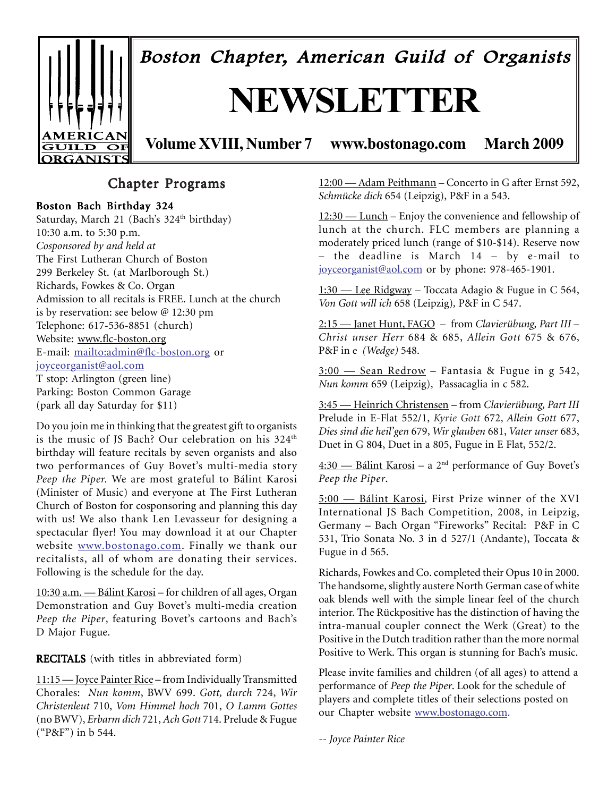

Boston Chapter, American Guild of Organists

# **NEWSLETTER**

**Volume XVIII, Number 7 www.bostonago.com March 2009**

### Chapter Programs

#### Boston Bach Birthday 324

Saturday, March 21 (Bach's 324<sup>th</sup> birthday) 10:30 a.m. to 5:30 p.m. *Cosponsored by and held at* The First Lutheran Church of Boston 299 Berkeley St. (at Marlborough St.) Richards, Fowkes & Co. Organ Admission to all recitals is FREE. Lunch at the church is by reservation: see below @ 12:30 pm Telephone: 617-536-8851 (church) Website: www.flc-boston.org E-mail: mailto:admin@flc-boston.org or joyceorganist@aol.com T stop: Arlington (green line) Parking: Boston Common Garage (park all day Saturday for \$11)

Do you join me in thinking that the greatest gift to organists is the music of JS Bach? Our celebration on his 324<sup>th</sup> birthday will feature recitals by seven organists and also two performances of Guy Bovet's multi-media story *Peep the Piper.* We are most grateful to Bálint Karosi (Minister of Music) and everyone at The First Lutheran Church of Boston for cosponsoring and planning this day with us! We also thank Len Levasseur for designing a spectacular flyer! You may download it at our Chapter website www.bostonago.com. Finally we thank our recitalists, all of whom are donating their services. Following is the schedule for the day.

10:30 a.m. — Bálint Karosi – for children of all ages, Organ Demonstration and Guy Bovet's multi-media creation *Peep the Piper*, featuring Bovet's cartoons and Bach's D Major Fugue.

**RECITALS** (with titles in abbreviated form)

11:15 — Joyce Painter Rice – from Individually Transmitted Chorales: *Nun komm*, BWV 699. *Gott, durch* 724, *Wir Christenleut* 710, *Vom Himmel hoch* 701, *O Lamm Gottes* (no BWV), *Erbarm dich* 721, *Ach Gott* 714. Prelude & Fugue ("P&F") in b 544.

12:00 — Adam Peithmann – Concerto in G after Ernst 592, *Schmücke dich* 654 (Leipzig), P&F in a 543.

12:30 — Lunch – Enjoy the convenience and fellowship of lunch at the church. FLC members are planning a moderately priced lunch (range of \$10-\$14). Reserve now – the deadline is March 14 – by e-mail to joyceorganist@aol.com or by phone: 978-465-1901.

1:30 — Lee Ridgway – Toccata Adagio & Fugue in C 564, *Von Gott will ich* 658 (Leipzig)*,* P&F in C 547.

2:15 — Janet Hunt, FAGO – from *Clavierübung, Part III* – *Christ unser Herr* 684 & 685, *Allein Gott* 675 & 676, P&F in e *(Wedge)* 548.

3:00 — Sean Redrow – Fantasia & Fugue in g 542, *Nun komm* 659 (Leipzig), Passacaglia in c 582.

3:45 — Heinrich Christensen *–* from *Clavierübung, Part III* Prelude in E-Flat 552/1, *Kyrie Gott* 672, *Allein Gott* 677, *Dies sind die heil'gen* 679, *Wir glauben* 681, *Vater unser* 683, Duet in G 804, Duet in a 805, Fugue in E Flat, 552/2.

4:30 — Bálint Karosi – a 2nd performance of Guy Bovet's *Peep the Piper*.

5:00 — Bálint Karosi, First Prize winner of the XVI International JS Bach Competition, 2008, in Leipzig, Germany – Bach Organ "Fireworks" Recital: P&F in C 531, Trio Sonata No. 3 in d 527/1 (Andante), Toccata & Fugue in d 565.

Richards, Fowkes and Co. completed their Opus 10 in 2000. The handsome, slightly austere North German case of white oak blends well with the simple linear feel of the church interior. The Rückpositive has the distinction of having the intra-manual coupler connect the Werk (Great) to the Positive in the Dutch tradition rather than the more normal Positive to Werk. This organ is stunning for Bach's music.

Please invite families and children (of all ages) to attend a performance of *Peep the Piper*. Look for the schedule of players and complete titles of their selections posted on our Chapter website www.bostonago.com.

*-- Joyce Painter Rice*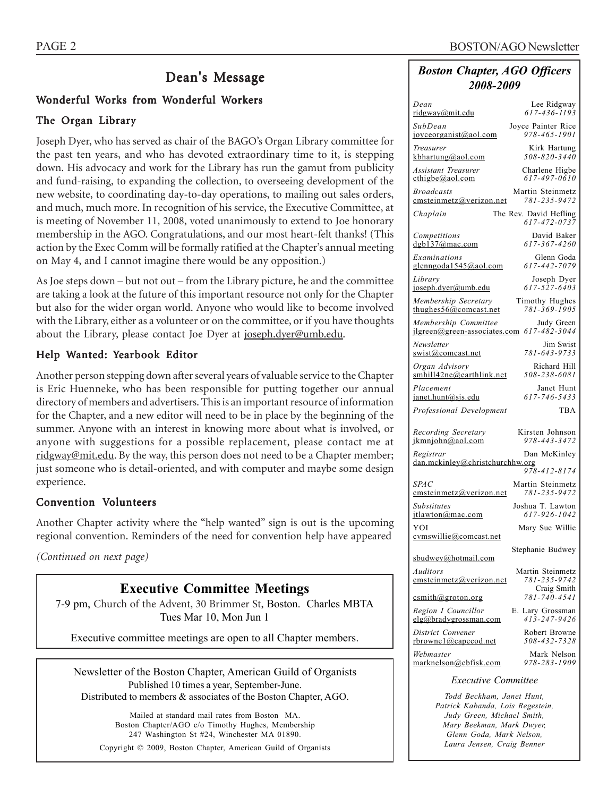### Dean's Message

### Wonderful Works from Wonderful Workers

#### The Organ Library

Joseph Dyer, who has served as chair of the BAGO's Organ Library committee for the past ten years, and who has devoted extraordinary time to it, is stepping down. His advocacy and work for the Library has run the gamut from publicity and fund-raising, to expanding the collection, to overseeing development of the new website, to coordinating day-to-day operations, to mailing out sales orders, and much, much more. In recognition of his service, the Executive Committee, at is meeting of November 11, 2008, voted unanimously to extend to Joe honorary membership in the AGO. Congratulations, and our most heart-felt thanks! (This action by the Exec Comm will be formally ratified at the Chapter's annual meeting on May 4, and I cannot imagine there would be any opposition.)

As Joe steps down – but not out – from the Library picture, he and the committee are taking a look at the future of this important resource not only for the Chapter but also for the wider organ world. Anyone who would like to become involved with the Library, either as a volunteer or on the committee, or if you have thoughts about the Library, please contact Joe Dyer at joseph.dyer@umb.edu.

#### Help Wanted: Yearbook Editor

Another person stepping down after several years of valuable service to the Chapter is Eric Huenneke, who has been responsible for putting together our annual directory of members and advertisers. This is an important resource of information for the Chapter, and a new editor will need to be in place by the beginning of the summer. Anyone with an interest in knowing more about what is involved, or anyone with suggestions for a possible replacement, please contact me at ridgway@mit.edu. By the way, this person does not need to be a Chapter member; just someone who is detail-oriented, and with computer and maybe some design experience.

#### Convention Volunteers

Another Chapter activity where the "help wanted" sign is out is the upcoming regional convention. Reminders of the need for convention help have appeared

*(Continued on next page)*

### **Executive Committee Meetings**

7-9 pm, Church of the Advent, 30 Brimmer St, Boston. Charles MBTA Tues Mar 10, Mon Jun 1

Executive committee meetings are open to all Chapter members.

Newsletter of the Boston Chapter, American Guild of Organists Published 10 times a year, September-June. Distributed to members & associates of the Boston Chapter, AGO.

Mailed at standard mail rates from Boston MA. Boston Chapter/AGO c/o Timothy Hughes, Membership 247 Washington St #24, Winchester MA 01890. Copyright © 2009, Boston Chapter, American Guild of Organists

#### *Boston Chapter, AGO Officers 2008-2009*

| Dean<br>ridgway@mit.edu                              | Lee Ridgway<br>617-436-1193            |
|------------------------------------------------------|----------------------------------------|
| SubDean<br>joyceorganist@aol.com                     | Joyce Painter Rice<br>978-465-1901     |
| Treasurer<br>kbhartung@aol.com                       | Kirk Hartung<br>508-820-3440           |
| Assistant Treasurer<br>cthigbe@aol.com               | Charlene Higbe<br>617-497-0610         |
| <b>Broadcasts</b><br>emsteinmetz@verizon.net         | Martin Steinmetz<br>781-235-9472       |
| Chaplain                                             | The Rev. David Hefling<br>617-472-0737 |
| Competitions<br>dgb137@mac.com                       | David Baker<br>617-367-4260            |
| Examinations<br>glenngoda1545@aol.com                | Glenn Goda<br>617-442-7079             |
| Library<br>joseph.dyer@umb.edu                       | Joseph Dyer<br>617-527-6403            |
| Membership Secretary<br>thughes $56@$ comcast.net    | Timothy Hughes<br>781-369-1905         |
| Membership Committee<br>ilgreen@green-associates.com | Judy Green<br>$617 - 482 - 3044$       |
| Newsletter<br>swist@comcast.net                      | Jim Swist<br>781-643-9733              |
| Organ Advisory<br>smhill42ne@earthlink.net           | Richard Hill<br>508-238-6081           |
| Placement<br>janet.hunt@sjs.edu                      | Janet Hunt<br>617-746-5433             |
| Professional Development                             | TBA                                    |
| Recording Secretary<br>ikmniohn@aol.com              | Kirsten Johnson<br>978-443-3472        |
| Registrar<br>$dan$ .mckinley@christchurchhw.org      | Dan McKinley                           |
| <b>SPAC</b>                                          | 978-412-8174<br>Martin Steinmetz       |
| emsteinmetz@verizon.net<br>Substitutes               | 781-235-9472<br>Joshua T. Lawton       |
| itlawton@mac.com<br>YOI                              | 617-926-1042<br>Mary Sue Willie        |
| cymswillie@comcast.net                               |                                        |
|                                                      |                                        |
| sbudwey@hotmail.com                                  | Stephanie Budwey                       |
| Auditors<br>emsteinmetz@verizon.net                  | Martin Steinmetz<br>781-235-9742       |
| csmith@groton.org                                    | Craig Smith<br>781-740-4541            |
| Region I Councillor<br>elg@bradygrossman.com         | E. Lary Grossman<br>$413 - 247 - 9426$ |
| District Convener<br>rbrownel@capecod.net            | Robert Browne<br>508-432-7328          |
| Webmaster<br>marknelson@cbfisk.com                   | Mark Nelson<br>978-283-1909            |
| <b>Executive Committee</b>                           |                                        |

*Todd Beckham, Janet Hunt, Patrick Kabanda, Lois Regestein, Judy Green, Michael Smith, Mary Beekman, Mark Dwyer, Glenn Goda, Mark Nelson, Laura Jensen, Craig Benner*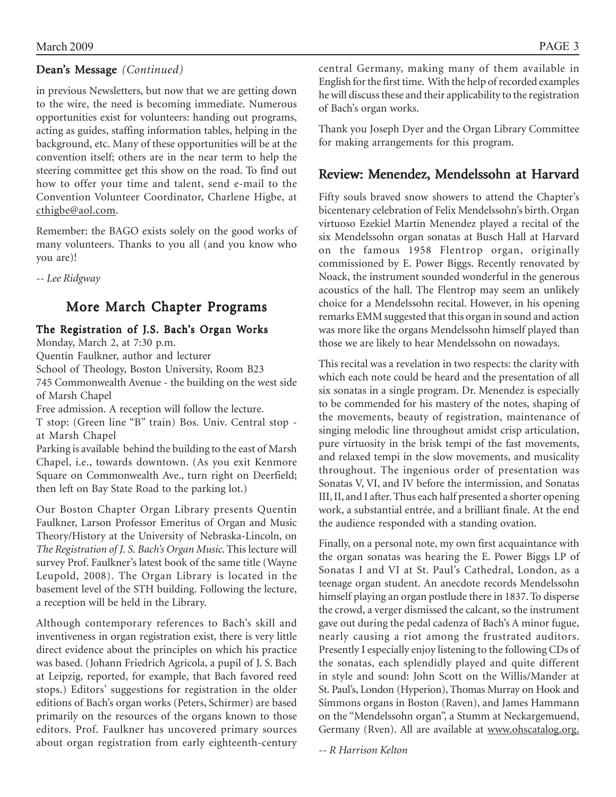### Dean's Message*(Continued)*

in previous Newsletters, but now that we are getting down to the wire, the need is becoming immediate. Numerous opportunities exist for volunteers: handing out programs, acting as guides, staffing information tables, helping in the background, etc. Many of these opportunities will be at the convention itself; others are in the near term to help the steering committee get this show on the road. To find out how to offer your time and talent, send e-mail to the Convention Volunteer Coordinator, Charlene Higbe, at cthigbe@aol.com.

Remember: the BAGO exists solely on the good works of many volunteers. Thanks to you all (and you know who you are)!

*-- Lee Ridgway*

### More March Chapter Programs

### The Registration of J.S. Bach's Organ Works

Monday, March 2, at 7:30 p.m. Quentin Faulkner, author and lecturer School of Theology, Boston University, Room B23 745 Commonwealth Avenue - the building on the west side of Marsh Chapel Free admission. A reception will follow the lecture. T stop: (Green line "B" train) Bos. Univ. Central stop at Marsh Chapel Parking is available behind the building to the east of Marsh Chapel, i.e., towards downtown. (As you exit Kenmore Square on Commonwealth Ave., turn right on Deerfield; then left on Bay State Road to the parking lot.) Our Boston Chapter Organ Library presents Quentin

Faulkner, Larson Professor Emeritus of Organ and Music Theory/History at the University of Nebraska-Lincoln, on *The Registration of J. S. Bach's Organ Music*. This lecture will survey Prof. Faulkner's latest book of the same title (Wayne Leupold, 2008). The Organ Library is located in the basement level of the STH building. Following the lecture, a reception will be held in the Library.

Although contemporary references to Bach's skill and inventiveness in organ registration exist, there is very little direct evidence about the principles on which his practice was based. (Johann Friedrich Agricola, a pupil of J. S. Bach at Leipzig, reported, for example, that Bach favored reed stops.) Editors' suggestions for registration in the older editions of Bach's organ works (Peters, Schirmer) are based primarily on the resources of the organs known to those editors. Prof. Faulkner has uncovered primary sources about organ registration from early eighteenth-century central Germany, making many of them available in English for the first time. With the help of recorded examples he will discuss these and their applicability to the registration of Bach's organ works.

Thank you Joseph Dyer and the Organ Library Committee for making arrangements for this program.

### Review: Menendez, Mendelssohn at Harvard

Fifty souls braved snow showers to attend the Chapter's bicentenary celebration of Felix Mendelssohn's birth. Organ virtuoso Ezekiel Martin Menendez played a recital of the six Mendelssohn organ sonatas at Busch Hall at Harvard on the famous 1958 Flentrop organ, originally commissioned by E. Power Biggs. Recently renovated by Noack, the instrument sounded wonderful in the generous acoustics of the hall. The Flentrop may seem an unlikely choice for a Mendelssohn recital. However, in his opening remarks EMM suggested that this organ in sound and action was more like the organs Mendelssohn himself played than those we are likely to hear Mendelssohn on nowadays.

This recital was a revelation in two respects: the clarity with which each note could be heard and the presentation of all six sonatas in a single program. Dr. Menendez is especially to be commended for his mastery of the notes, shaping of the movements, beauty of registration, maintenance of singing melodic line throughout amidst crisp articulation, pure virtuosity in the brisk tempi of the fast movements, and relaxed tempi in the slow movements, and musicality throughout. The ingenious order of presentation was Sonatas V, VI, and IV before the intermission, and Sonatas III, II, and I after. Thus each half presented a shorter opening work, a substantial entrée, and a brilliant finale. At the end the audience responded with a standing ovation.

Finally, on a personal note, my own first acquaintance with the organ sonatas was hearing the E. Power Biggs LP of Sonatas I and VI at St. Paul's Cathedral, London, as a teenage organ student. An anecdote records Mendelssohn himself playing an organ postlude there in 1837. To disperse the crowd, a verger dismissed the calcant, so the instrument gave out during the pedal cadenza of Bach's A minor fugue, nearly causing a riot among the frustrated auditors. Presently I especially enjoy listening to the following CDs of the sonatas, each splendidly played and quite different in style and sound: John Scott on the Willis/Mander at St. Paul's, London (Hyperion), Thomas Murray on Hook and Simmons organs in Boston (Raven), and James Hammann on the "Mendelssohn organ", a Stumm at Neckargemuend, Germany (Rven). All are available at www.ohscatalog.org.

*-- R Harrison Kelton*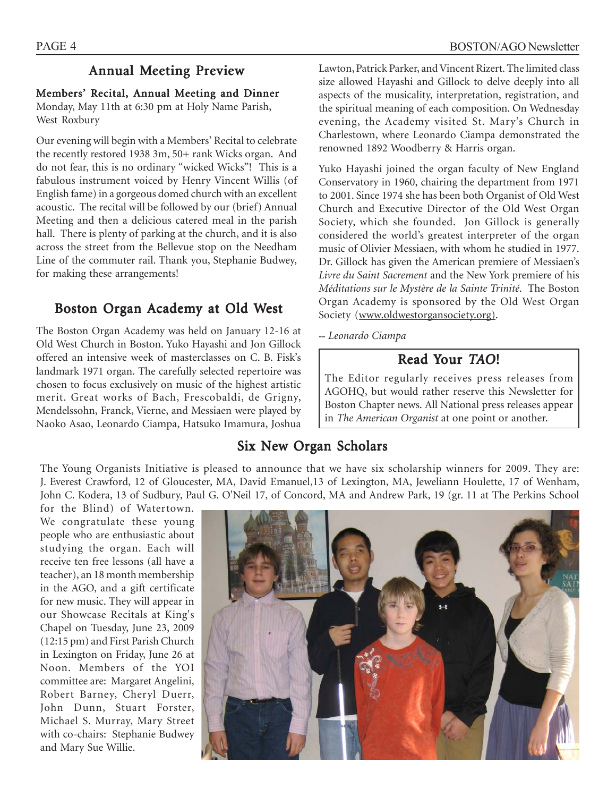### Annual Meeting Preview

### Members' Recital, Annual Meeting and Dinner

Monday, May 11th at 6:30 pm at Holy Name Parish, West Roxbury

Our evening will begin with a Members' Recital to celebrate the recently restored 1938 3m, 50+ rank Wicks organ. And do not fear, this is no ordinary "wicked Wicks"! This is a fabulous instrument voiced by Henry Vincent Willis (of English fame) in a gorgeous domed church with an excellent acoustic. The recital will be followed by our (brief) Annual Meeting and then a delicious catered meal in the parish hall. There is plenty of parking at the church, and it is also across the street from the Bellevue stop on the Needham Line of the commuter rail. Thank you, Stephanie Budwey, for making these arrangements!

### Boston Organ Academy at Old West

The Boston Organ Academy was held on January 12-16 at Old West Church in Boston. Yuko Hayashi and Jon Gillock offered an intensive week of masterclasses on C. B. Fisk's landmark 1971 organ. The carefully selected repertoire was chosen to focus exclusively on music of the highest artistic merit. Great works of Bach, Frescobaldi, de Grigny, Mendelssohn, Franck, Vierne, and Messiaen were played by Naoko Asao, Leonardo Ciampa, Hatsuko Imamura, Joshua Yuko Hayashi joined the organ faculty of New England Conservatory in 1960, chairing the department from 1971 to 2001. Since 1974 she has been both Organist of Old West Church and Executive Director of the Old West Organ Society, which she founded. Jon Gillock is generally considered the world's greatest interpreter of the organ music of Olivier Messiaen, with whom he studied in 1977. Dr. Gillock has given the American premiere of Messiaen's *Livre du Saint Sacrement* and the New York premiere of his *Méditations sur le Mystère de la Sainte Trinité*. The Boston Organ Academy is sponsored by the Old West Organ Society (www.oldwestorgansociety.org).

*-- Leonardo Ciampa*

### Read Your *TAO*!

The Editor regularly receives press releases from AGOHQ, but would rather reserve this Newsletter for Boston Chapter news. All National press releases appear in *The American Organist* at one point or another.

### Six New Organ Scholars

The Young Organists Initiative is pleased to announce that we have six scholarship winners for 2009. They are: J. Everest Crawford, 12 of Gloucester, MA, David Emanuel,13 of Lexington, MA, Jeweliann Houlette, 17 of Wenham, John C. Kodera, 13 of Sudbury, Paul G. O'Neil 17, of Concord, MA and Andrew Park, 19 (gr. 11 at The Perkins School

for the Blind) of Watertown. We congratulate these young people who are enthusiastic about studying the organ. Each will receive ten free lessons (all have a teacher), an 18 month membership in the AGO, and a gift certificate for new music. They will appear in our Showcase Recitals at King's Chapel on Tuesday, June 23, 2009 (12:15 pm) and First Parish Church in Lexington on Friday, June 26 at Noon. Members of the YOI committee are: Margaret Angelini, Robert Barney, Cheryl Duerr, John Dunn, Stuart Forster, Michael S. Murray, Mary Street with co-chairs: Stephanie Budwey and Mary Sue Willie.

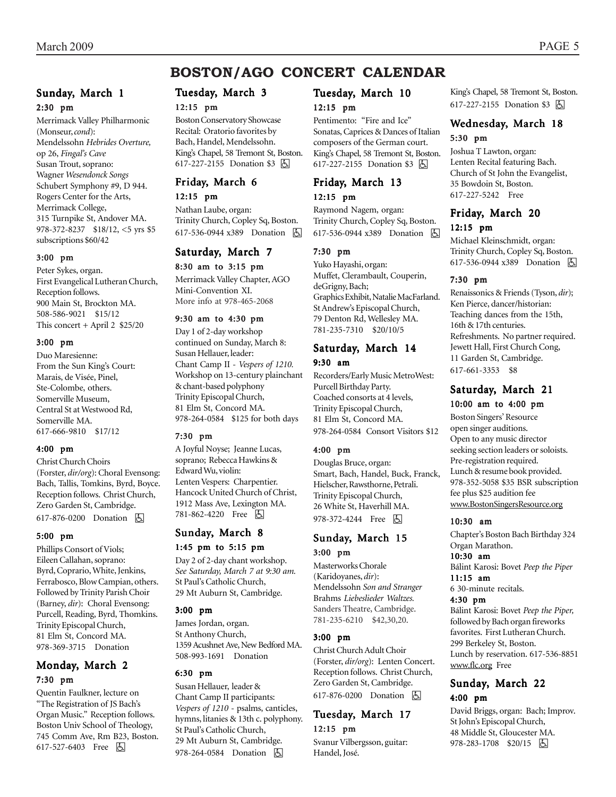#### Sunday, March 1 2:30 pm

Merrimack Valley Philharmonic (Monseur, *cond*): Mendelssohn *Hebrides Overture,* op 26, *Fingal's Cave* Susan Trout, soprano: Wagner *Wesendonck Songs* Schubert Symphony #9, D 944. Rogers Center for the Arts, Merrimack College, 315 Turnpike St, Andover MA. 978-372-8237 \$18/12, <5 yrs \$5 subscriptions \$60/42

#### 3:00 pm

Peter Sykes, organ. First Evangelical Lutheran Church, Reception follows. 900 Main St, Brockton MA. 508-586-9021 \$15/12 This concert + April 2 \$25/20

#### 3:00 pm

Duo Maresienne: From the Sun King's Court: Marais, de Visée, Pinel, Ste-Colombe, others. Somerville Museum, Central St at Westwood Rd, Somerville MA. 617-666-9810 \$17/12

#### 4:00 pm

Christ Church Choirs (Forster, *dir/org*): Choral Evensong: Bach, Tallis, Tomkins, Byrd, Boyce. Reception follows. Christ Church, Zero Garden St, Cambridge. 617-876-0200 Donation **b** 

#### 5:00 pm

Phillips Consort of Viols; Eileen Callahan, soprano: Byrd, Coprario, White, Jenkins, Ferrabosco, Blow Campian, others. Followed by Trinity Parish Choir (Barney, *dir*): Choral Evensong: Purcell, Reading, Byrd, Thomkins. Trinity Episcopal Church, 81 Elm St, Concord MA. 978-369-3715 Donation

#### Monday, March 2 7:30 pm

Quentin Faulkner, lecture on "The Registration of JS Bach's Organ Music." Reception follows. Boston Univ School of Theology, 745 Comm Ave, Rm B23, Boston. 617-527-6403 Free 因

### Tuesday, March 3

#### 12:15 pm

Boston Conservatory Showcase Recital: Oratorio favorites by Bach, Handel, Mendelssohn. King's Chapel, 58 Tremont St, Boston. 617-227-2155 Donation \$3 因

### Friday, March 6

12:15 pm Nathan Laube, organ: Trinity Church, Copley Sq, Boston. 617-536-0944 x389 Donation h

#### Saturday, March 7

8:30 am to 3:15 pm Merrimack Valley Chapter, AGO

Mini-Convention XI. More info at 978-465-2068

#### 9:30 am to 4:30 pm

Day 1 of 2-day workshop continued on Sunday, March 8: Susan Hellauer, leader: Chant Camp II - *Vespers of 1210.* Workshop on 13-century plainchant & chant-based polyphony Trinity Episcopal Church, 81 Elm St, Concord MA. 978-264-0584 \$125 for both days

#### 7:30 pm

A Joyful Noyse; Jeanne Lucas, soprano; Rebecca Hawkins & Edward Wu, violin: Lenten Vespers: Charpentier. Hancock United Church of Christ, 1912 Mass Ave, Lexington MA. 781-862-4220 Free 因

### Sunday, March 8

#### 1:45 pm to 5:15 pm

Day 2 of 2-day chant workshop. *See Saturday, March 7 at 9:30 am.* St Paul's Catholic Church, 29 Mt Auburn St, Cambridge.

#### 3:00 pm

James Jordan, organ. St Anthony Church, 1359 Acushnet Ave, New Bedford MA. 508-993-1691 Donation

#### 6:30 pm

Susan Hellauer, leader & Chant Camp II participants: *Vespers of 1210* - psalms, canticles, hymns, litanies & 13th c. polyphony. St Paul's Catholic Church, 29 Mt Auburn St, Cambridge. 978-264-0584 Donation  $\Box$ 

#### Tuesday, March 10

#### 12:15 pm

Pentimento: "Fire and Ice" Sonatas, Caprices & Dances of Italian composers of the German court. King's Chapel, 58 Tremont St, Boston. 617-227-2155 Donation \$3 <a>

#### Friday, March 13 12:15 pm

Raymond Nagem, organ: Trinity Church, Copley Sq, Boston. 617-536-0944 x389 Donation h

#### 7:30 pm

Yuko Hayashi, organ: Muffet, Clerambault, Couperin, deGrigny, Bach; Graphics Exhibit, Natalie MacFarland. St Andrew's Episcopal Church, 79 Denton Rd, Wellesley MA. 781-235-7310 \$20/10/5

#### Saturday, March 14 9:30 am

Recorders/Early Music MetroWest: Purcell Birthday Party. Coached consorts at 4 levels, Trinity Episcopal Church, 81 Elm St, Concord MA. 978-264-0584 Consort Visitors \$12

#### 4:00 pm

Douglas Bruce, organ: Smart, Bach, Handel, Buck, Franck, Hielscher, Rawsthorne, Petrali. Trinity Episcopal Church, 26 White St, Haverhill MA. 978-372-4244 Free 因

#### Sunday, March 15 3:00 pm

Masterworks Chorale (Karidoyanes, *dir*): Mendelssohn *Son and Stranger* Brahms *Liebeslieder Waltzes.* Sanders Theatre, Cambridge. 781-235-6210 \$42,30,20.

#### 3:00 pm

Christ Church Adult Choir (Forster, *dir/org*): Lenten Concert. Reception follows. Christ Church, Zero Garden St, Cambridge. 617-876-0200 Donation **b** 

### Tuesday, March 17

12:15 pm

Svanur Vilbergsson, guitar: Handel, José.

King's Chapel, 58 Tremont St, Boston. 617-227-2155 Donation \$3 因

#### Wednesday, March 18 5:30 pm

Joshua T Lawton, organ: Lenten Recital featuring Bach. Church of St John the Evangelist, 35 Bowdoin St, Boston. 617-227-5242 Free

#### Friday, March 20 12:15 pm

Michael Kleinschmidt, organ: Trinity Church, Copley Sq, Boston. 617-536-0944 x389 Donation **b** 

#### 7:30 pm

Renaissonics & Friends (Tyson, *dir*); Ken Pierce, dancer/historian: Teaching dances from the 15th, 16th & 17th centuries. Refreshments. No partner required. Jewett Hall, First Church Cong, 11 Garden St, Cambridge. 617-661-3353 \$8

#### Saturday, March 21 10:00 am to 4:00 pm

Boston Singers' Resource open singer auditions. Open to any music director seeking section leaders or soloists. Pre-registration required. Lunch & resume book provided. 978-352-5058 \$35 BSR subscription fee plus \$25 audition fee www.BostonSingersResource.org

#### 10:30 am

Chapter's Boston Bach Birthday 324 Organ Marathon. 10:30 am Bálint Karosi: Bovet *Peep the Piper* 11:15 am 6 30-minute recitals. 4:30 pm

#### Bálint Karosi: Bovet *Peep the Piper,* followed by Bach organ fireworks favorites. First Lutheran Church. 299 Berkeley St, Boston. Lunch by reservation. 617-536-8851 www.flc.org Free

#### Sunday, March 22 4:00 pm

David Briggs, organ: Bach; Improv. St John's Episcopal Church, 48 Middle St, Gloucester MA. 978-283-1708 \$20/15 | 4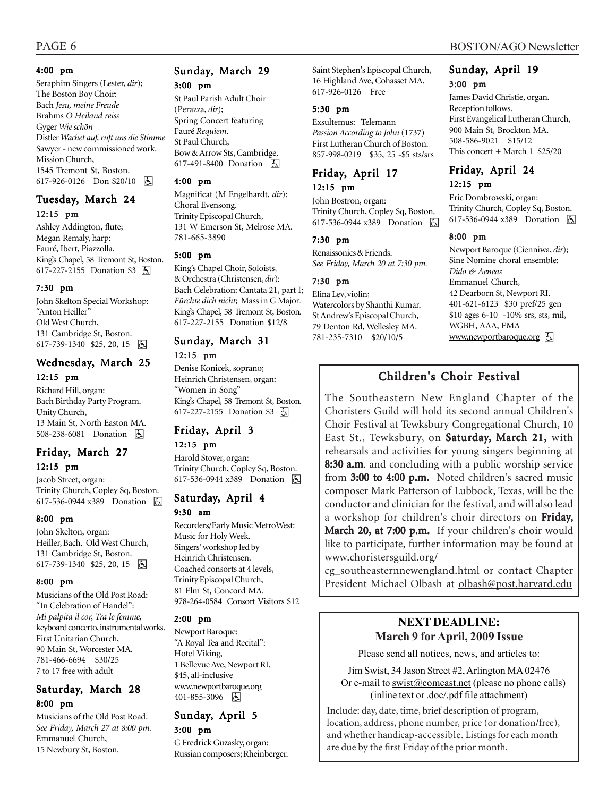Seraphim Singers (Lester, *dir*); The Boston Boy Choir: Bach *Jesu, meine Freude* Brahms *O Heiland reiss* Gyger *Wie schön* Distler *Wachet auf, ruft uns die Stimme* Sawyer - new commissioned work. Mission Church, 1545 Tremont St, Boston. 617-926-0126 Don \$20/10 因

#### Tuesday, March 24 12:15 pm

Ashley Addington, flute; Megan Remaly, harp: Fauré, Ibert, Piazzolla. King's Chapel, 58 Tremont St, Boston. 617-227-2155 Donation \$3 因

#### 7:30 pm

John Skelton Special Workshop: "Anton Heiller" Old West Church, 131 Cambridge St, Boston. 617-739-1340 \$25, 20, 15  $\boxed{6}$ 

#### Wednesday, March 25

#### 12:15 pm

Richard Hill, organ: Bach Birthday Party Program. Unity Church, 13 Main St, North Easton MA. 508-238-6081 Donation [5]

#### Friday, March 27 12:15 pm

Jacob Street, organ: Trinity Church, Copley Sq, Boston. 617-536-0944 x389 Donation 因

#### 8:00 pm

John Skelton, organ: Heiller, Bach. Old West Church, 131 Cambridge St, Boston. 617-739-1340 \$25, 20, 15 9

#### 8:00 pm

Musicians of the Old Post Road: "In Celebration of Handel": *Mi palpita il cor, Tra le femme,* keyboard concerto, instrumental works. First Unitarian Church, 90 Main St, Worcester MA. 781-466-6694 \$30/25 7 to 17 free with adult

### Saturday, March 28 8:00 pm

Musicians of the Old Post Road. *See Friday, March 27 at 8:00 pm.* Emmanuel Church, 15 Newbury St, Boston.

#### Sunday, March 29 3:00 pm

St Paul Parish Adult Choir (Perazza, *dir*); Spring Concert featuring Fauré *Requiem*. St Paul Church, Bow & Arrow Sts, Cambridge. 617-491-8400 Donation **b** 

#### 4:00 pm

Magnificat (M Engelhardt, *dir*): Choral Evensong. Trinity Episcopal Church, 131 W Emerson St, Melrose MA. 781-665-3890

#### 5:00 pm

King's Chapel Choir, Soloists, & Orchestra (Christensen, *dir*): Bach Celebration: Cantata 21, part I; *Fürchte dich nicht*; Mass in G Major. King's Chapel, 58 Tremont St, Boston. 617-227-2155 Donation \$12/8

#### Sunday, March 31

#### 12:15 pm

Denise Konicek, soprano; Heinrich Christensen, organ: "Women in Song" King's Chapel, 58 Tremont St, Boston. 617-227-2155 Donation \$3 因

### Friday, April 3

12:15 pm Harold Stover, organ: Trinity Church, Copley Sq, Boston. 617-536-0944 x389 Donation h

### Saturday, April 4

#### 9:30 am

Recorders/Early Music MetroWest: Music for Holy Week. Singers' workshop led by Heinrich Christensen. Coached consorts at 4 levels, Trinity Episcopal Church, 81 Elm St, Concord MA. 978-264-0584 Consort Visitors \$12

#### 2:00 pm

Newport Baroque: "A Royal Tea and Recital": Hotel Viking, 1 Bellevue Ave, Newport RI. \$45, all-inclusive www.newportbaroque.org 401-855-3096 4

#### Sunday, April 5 3:00 pm

G Fredrick Guzasky, organ: Russian composers; Rheinberger. Saint Stephen's Episcopal Church, 16 Highland Ave, Cohasset MA. 617-926-0126 Free

#### 5:30 pm

Exsultemus: Telemann *Passion According to John* (1737) First Lutheran Church of Boston. 857-998-0219 \$35, 25 -\$5 sts/srs

#### Friday, April 17

#### 12:15 pm

John Bostron, organ: Trinity Church, Copley Sq, Boston. 617-536-0944 x389 Donation **b** 

#### 7:30 pm

Renaissonics & Friends. *See Friday, March 20 at 7:30 pm.*

#### 7:30 pm

Elina Lev, violin; Watercolors by Shanthi Kumar. St Andrew's Episcopal Church, 79 Denton Rd, Wellesley MA. 781-235-7310 \$20/10/5

#### Sunday, April 19 3:00 pm

James David Christie, organ. Reception follows. First Evangelical Lutheran Church, 900 Main St, Brockton MA. 508-586-9021 \$15/12 This concert + March  $1$  \$25/20

### Friday, April 24

#### 12:15 pm

Eric Dombrowski, organ: Trinity Church, Copley Sq, Boston. 617-536-0944 x389 Donation **b** 

#### 8:00 pm

Newport Baroque (Cienniwa, *dir*); Sine Nomine choral ensemble: *Dido & Aeneas* Emmanuel Church, 42 Dearborn St, Newport RI. 401-621-6123 \$30 pref/25 gen \$10 ages 6-10 -10% srs, sts, mil, WGBH, AAA, EMA www.newportbaroque.org &

### Children's Choir Festival

The Southeastern New England Chapter of the Choristers Guild will hold its second annual Children's Choir Festival at Tewksbury Congregational Church, 10 East St., Tewksbury, on Saturday, March 21, with rehearsals and activities for young singers beginning at 8:30 a.m. and concluding with a public worship service from 3:00 to 4:00 p.m. Noted children's sacred music composer Mark Patterson of Lubbock, Texas, will be the conductor and clinician for the festival, and will also lead a workshop for children's choir directors on Friday, March 20, at 7:00 p.m. If your children's choir would like to participate, further information may be found at www.choristersguild.org/

cg\_southeasternnewengland.html or contact Chapter President Michael Olbash at olbash@post.harvard.edu

### **NEXT DEADLINE: March 9 for April, 2009 Issue**

Please send all notices, news, and articles to:

Jim Swist, 34 Jason Street #2, Arlington MA 02476 Or e-mail to  $\frac{\text{swist}(\partial \text{connect}.\text{net})}{\text{commutative}}$  (please no phone calls) (inline text or .doc/.pdf file attachment)

Include: day, date, time, brief description of program, location, address, phone number, price (or donation/free), and whether handicap-accessible. Listings for each month are due by the first Friday of the prior month.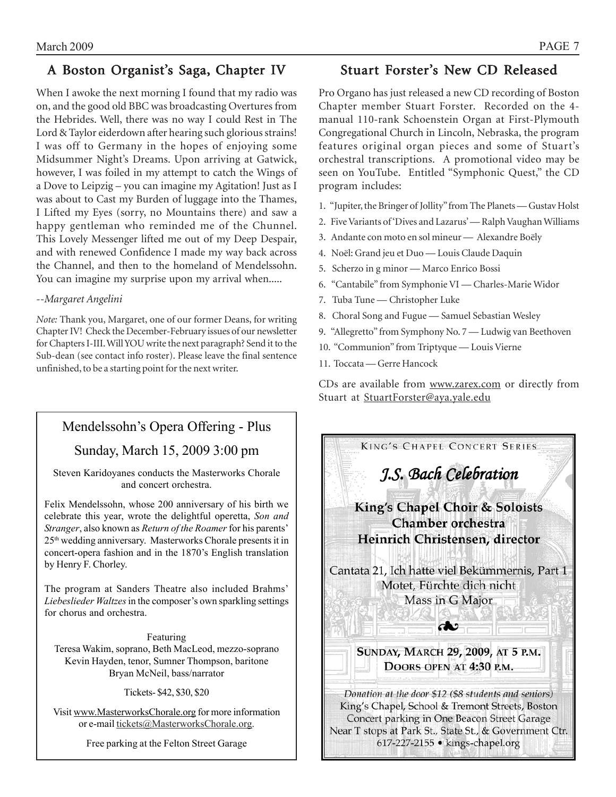### A Boston Organist's Saga, Chapter IV

When I awoke the next morning I found that my radio was on, and the good old BBC was broadcasting Overtures from the Hebrides. Well, there was no way I could Rest in The Lord & Taylor eiderdown after hearing such glorious strains! I was off to Germany in the hopes of enjoying some Midsummer Night's Dreams. Upon arriving at Gatwick, however, I was foiled in my attempt to catch the Wings of a Dove to Leipzig – you can imagine my Agitation! Just as I was about to Cast my Burden of luggage into the Thames, I Lifted my Eyes (sorry, no Mountains there) and saw a happy gentleman who reminded me of the Chunnel. This Lovely Messenger lifted me out of my Deep Despair, and with renewed Confidence I made my way back across the Channel, and then to the homeland of Mendelssohn. You can imagine my surprise upon my arrival when.....

#### *--Margaret Angelini*

*Note:* Thank you, Margaret, one of our former Deans, for writing Chapter IV! Check the December-February issues of our newsletter for Chapters I-III. Will YOU write the next paragraph? Send it to the Sub-dean (see contact info roster). Please leave the final sentence unfinished, to be a starting point for the next writer.

### Mendelssohn's Opera Offering - Plus

### Sunday, March 15, 2009 3:00 pm

Steven Karidoyanes conducts the Masterworks Chorale and concert orchestra.

Felix Mendelssohn, whose 200 anniversary of his birth we celebrate this year, wrote the delightful operetta, *Son and Stranger*, also known as *Return of the Roamer* for his parents' 25th wedding anniversary. Masterworks Chorale presents it in concert-opera fashion and in the 1870's English translation by Henry F. Chorley.

The program at Sanders Theatre also included Brahms' *Liebeslieder Waltzes* in the composer's own sparkling settings for chorus and orchestra.

Featuring Teresa Wakim, soprano, Beth MacLeod, mezzo-soprano Kevin Hayden, tenor, Sumner Thompson, baritone Bryan McNeil, bass/narrator

Tickets- \$42, \$30, \$20

Visit www.MasterworksChorale.org for more information or e-mail tickets@MasterworksChorale.org.

Free parking at the Felton Street Garage

### Stuart Forster's New CD Released

Pro Organo has just released a new CD recording of Boston Chapter member Stuart Forster. Recorded on the 4 manual 110-rank Schoenstein Organ at First-Plymouth Congregational Church in Lincoln, Nebraska, the program features original organ pieces and some of Stuart's orchestral transcriptions. A promotional video may be seen on YouTube. Entitled "Symphonic Quest," the CD program includes:

- 1. "Jupiter, the Bringer of Jollity" from The Planets Gustav Holst
- 2. Five Variants of 'Dives and Lazarus' Ralph Vaughan Williams
- 3. Andante con moto en sol mineur Alexandre Boëly
- 4. Noël: Grand jeu et Duo Louis Claude Daquin
- 5. Scherzo in g minor Marco Enrico Bossi
- 6. "Cantabile" from Symphonie VI Charles-Marie Widor
- 7. Tuba Tune Christopher Luke
- 8. Choral Song and Fugue Samuel Sebastian Wesley
- 9. "Allegretto" from Symphony No. 7 Ludwig van Beethoven
- 10. "Communion" from Triptyque Louis Vierne
- 11. Toccata Gerre Hancock

CDs are available from www.zarex.com or directly from Stuart at StuartForster@aya.yale.edu

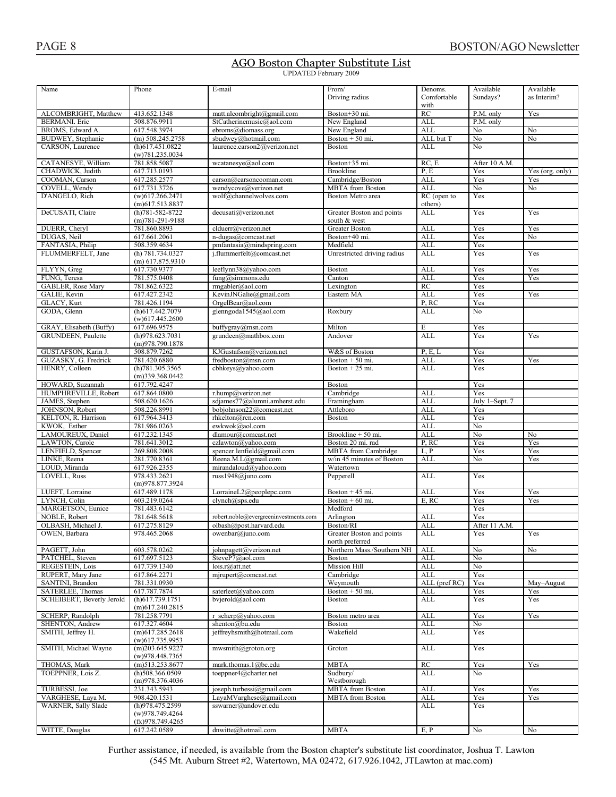#### AGO Boston Chapter Substitute List UPDATED February 2009

| Name                      | Phone                 | E-mail                                | From/                       | Denoms.             | Available      | Available       |
|---------------------------|-----------------------|---------------------------------------|-----------------------------|---------------------|----------------|-----------------|
|                           |                       |                                       | Driving radius              | Comfortable         | Sundays?       | as Interim?     |
|                           |                       |                                       |                             | with                |                |                 |
| ALCOMBRIGHT, Matthew      | 413.652.1348          | matt.alcombright@gmail.com            | Boston+30 mi.               | RC                  | P.M. only      | Yes             |
| <b>BERMANI</b> . Eric     | 508.876.9911          | StCatherinemusic@aol.com              | New England                 | <b>ALL</b>          | P.M. only      |                 |
| BROMS, Edward A.          | 617.548.3974          | ebroms@diomass.org                    | New England                 | <b>ALL</b>          | No             | No              |
|                           |                       |                                       |                             |                     |                |                 |
| BUDWEY, Stephanie         | $(m)$ 508.245.2758    | sbudwey@hotmail.com                   | Boston $+50$ mi.            | ALL but T           | No             | No              |
| CARSON, Laurence          | (h)617.451.0822       | laurence.carson2@verizon.net          | <b>Boston</b>               | <b>ALL</b>          | No             |                 |
|                           | (w)781.235.0034       |                                       |                             |                     |                |                 |
| CATANESYE, William        | 781.858.5087          | wcatanesye@aol.com                    | Boston+35 mi.               | RC, E               | After 10 A.M.  |                 |
| CHADWICK, Judith          | 617.713.0193          |                                       | Brookline                   | P, E                | Yes            | Yes (org. only) |
|                           |                       |                                       |                             |                     | Yes            |                 |
| COOMAN, Carson            | 617.285.2577          | carson@carsoncooman.com               | Cambridge/Boston            | <b>ALL</b>          |                | Yes             |
| COVELL, Wendy             | 617.731.3726          | wendycove@verizon.net                 | <b>MBTA</b> from Boston     | <b>ALL</b>          | No             | No              |
| D'ANGELO, Rich            | $(w)$ 617.266.2471    | wolf@channelwolves.com                | Boston Metro area           | RC (open to         | Yes            |                 |
|                           | $(m)$ 617.513.8837    |                                       |                             | others)             |                |                 |
| DeCUSATI, Claire          | $(h)781 - 582 - 8722$ | decusati@verizon.net                  | Greater Boston and points   | ALL                 | Yes            | Yes             |
|                           | $(m)781-291-9188$     |                                       | south & west                |                     |                |                 |
| DUERR, Cheryl             | 781.860.8893          | clduerr@verizon.net                   | Greater Boston              | <b>ALL</b>          | Yes            | Yes             |
|                           |                       |                                       |                             |                     |                |                 |
| DUGAS, Neil               | 617.661.2061          | n-dugas@comcast.net                   | Boston+40 mi.               | <b>ALL</b>          | Yes            | No              |
| FANTASIA, Philip          | 508.359.4634          | pmfantasia@mindspring.com             | Medfield                    | <b>ALL</b>          | Yes            |                 |
| FLUMMERFELT, Jane         | (h) 781.734.0327      | j.flummerfelt@comcast.net             | Unrestricted driving radius | <b>ALL</b>          | Yes            | Yes             |
|                           | $(m)$ 617.875.9310    |                                       |                             |                     |                |                 |
| FLYYN, Greg               | 617.730.9377          | leeflynn38@yahoo.com                  | Boston                      | ALL                 | Yes            | Yes             |
| FUNG, Teresa              | 781.575.0408          | $fung@sim$ nons.edu                   | Canton                      | <b>ALL</b>          | Yes            | Yes             |
|                           |                       |                                       |                             |                     |                |                 |
| GABLER, Rose Mary         | 781.862.6322          | rmgabler@aol.com                      | Lexington                   | RC                  | Yes            |                 |
| GALIE, Kevin              | 617.427.2342          | KevinJNGalie@gmail.com                | Eastern MA                  | <b>ALL</b>          | Yes            | Yes             |
| GLACY, Kurt               | 781.426.1194          | OrgelBear@aol.com                     |                             | P, RC               | Yes            |                 |
| GODA, Glenn               | (h)617.442.7079       | glenngoda1545@aol.com                 | Roxbury                     | <b>ALL</b>          | No             |                 |
|                           | $(w)$ 617.445.2600    |                                       |                             |                     |                |                 |
| GRAY, Elisabeth (Buffy)   | 617.696.9575          | buffygray@msn.com                     | Milton                      | E                   | Yes            |                 |
|                           |                       |                                       |                             |                     |                |                 |
| <b>GRUNDEEN, Paulette</b> | (h)978.623.7031       | grundeen@mathbox.com                  | Andover                     | <b>ALL</b>          | Yes            | Yes             |
|                           | (m)978.790.1878       |                                       |                             |                     |                |                 |
| GUSTAFSON, Karin J.       | 508.879.7262          | KJGustafson@verizon.net               | W&S of Boston               | P, E, L             | Yes            |                 |
| GUZASKY, G. Fredrick      | 781.420.6880          | fredboston@msn.com                    | Boston $+50$ mi.            | <b>ALL</b>          | Yes            | Yes             |
| HENRY, Colleen            | (h)781.305.3565       | cbhkeys@yahoo.com                     | Boston $+25$ mi.            | ALL                 | Yes            |                 |
|                           |                       |                                       |                             |                     |                |                 |
|                           | $(m)$ 339.368.0442    |                                       |                             |                     |                |                 |
| HOWARD, Suzannah          | 617.792.4247          |                                       | Boston                      |                     | Yes            |                 |
| HUMPHREVILLE, Robert      | 617.864.0800          | r.hump@verizon.net                    | Cambridge                   | <b>ALL</b>          | Yes            |                 |
| JAMES, Stephen            | 508.620.1626          | sdjames77@alumni.amherst.edu          | Framingham                  | <b>ALL</b>          | July 1-Sept. 7 |                 |
| JOHNSON, Robert           | 508.226.8991          | bobjohnson22@comcast.net              | Attleboro                   | <b>ALL</b>          | Yes            |                 |
| KELTON, R. Harrison       | 617.964.3413          | rhkelton@rcn.com                      | <b>Boston</b>               | <b>ALL</b>          | Yes            |                 |
| KWOK, Esther              | 781.986.0263          |                                       |                             | <b>ALL</b>          |                |                 |
|                           |                       | ewkwok@aol.com                        |                             |                     | No             |                 |
| LAMOUREUX, Daniel         | 617.232.1345          | dlamour@comcast.net                   | Brookline + 50 mi.          | <b>ALL</b>          | No             | No              |
| LAWTON, Carole            | 781.641.3012          | czlawton@yahoo.com                    | Boston 20 mi. rad           | $\overline{P}$ , RC | Yes            | Yes             |
| LENFIELD, Spencer         | 269.808.2008          | spencer.lenfield@gmail.com            | <b>MBTA</b> from Cambridge  | L, P                | Yes            | Yes             |
| LINKE, Reena              | 281.770.8361          | Reena.M.L@gmail.com                   | w/in 45 minutes of Boston   | <b>ALL</b>          | No             | Yes             |
| LOUD, Miranda             | 617.926.2355          | mirandaloud@yahoo.com                 | Watertown                   |                     |                |                 |
|                           |                       |                                       |                             |                     |                |                 |
| LOVELL, Russ              | 978.433.2621          | russ $1948@$ juno.com                 | Pepperell                   | <b>ALL</b>          | Yes            |                 |
|                           | (m)978.877.3924       |                                       |                             |                     |                |                 |
| LUEFT, Lorraine           | 617.489.1178          | LorraineL2@peoplepc.com               | Boston $+45$ mi.            | <b>ALL</b>          | Yes            | Yes             |
| LYNCH, Colin              | 603.219.0264          | clynch@sps.edu                        | Boston $+60$ mi.            | E, RC               | Yes            | Yes             |
| MARGETSON, Eunice         | 781.483.6142          |                                       | Medford                     |                     | Yes            |                 |
| NOBLE, Robert             | 781.648.5618          | robert.noble@evergreeninvestments.com | Arlington                   | ALL                 | Yes            |                 |
|                           |                       |                                       |                             |                     |                |                 |
| OLBASH, Michael J.        | 617.275.8129          | olbash@post.harvard.edu               | Boston/RI                   | <b>ALL</b>          | After 11 A.M.  |                 |
| OWEN, Barbara             | 978.465.2068          | owenbar@juno.com                      | Greater Boston and points   | ALL                 | Yes            | Yes             |
|                           |                       |                                       | north preferred             |                     |                |                 |
| PAGETT, John              | 603.578.0262          | johnpagett@verizon.net                | Northern Mass./Southern NH  | ALL                 | No             | No              |
| PATCHEL, Steven           | 617.697.5123          | SteveP7@aol.com                       | Boston                      | <b>ALL</b>          | No             |                 |
| REGESTEIN, Lois           | 617.739.1340          | lois.r@att.net                        | Mission Hill                | <b>ALL</b>          | No             |                 |
|                           |                       |                                       |                             |                     |                |                 |
| RUPERT, Mary Jane         | 617.864.2271          | mjrupert@comcast.net                  | Cambridge                   | <b>ALL</b>          | Yes            |                 |
| SANTINI, Brandon          | 781.331.0930          |                                       | Weymouth                    | ALL (pref RC)       | Yes            | May-August      |
| SATERLEE, Thomas          | 617.787.7874          | saterleet@yahoo.com                   | Boston $+50$ mi.            | ALL                 | Yes            | Yes             |
| SCHEIBERT, Beverly Jerold | $(h)$ 617.739.1751    | bvjerold@aol.com                      | <b>Boston</b>               | ALL                 | Yes            | Yes             |
|                           | $(m)$ 617.240.2815    |                                       |                             |                     |                |                 |
| SCHERP, Randolph          | 781.258.7791          | r scherp@yahoo.com                    | Boston metro area           | <b>ALL</b>          | Yes            | Yes             |
|                           |                       |                                       |                             |                     |                |                 |
| SHENTON, Andrew           | 617.327.4604          | shenton@bu.edu                        | Boston                      | <b>ALL</b>          | No             |                 |
| SMITH, Jeffrey H.         | $(m)$ 617.285.2618    | jeffreyhsmith@hotmail.com             | Wakefield                   | ALL                 | Yes            |                 |
|                           | $(w)$ 617.735.9953    |                                       |                             |                     |                |                 |
| SMITH, Michael Wayne      | $(m)$ 203.645.9227    | mwsmith@groton.org                    | Groton                      | <b>ALL</b>          | Yes            |                 |
|                           | (w)978.448.7365       |                                       |                             |                     |                |                 |
| THOMAS, Mark              | $(m)$ 513.253.8677    | mark.thomas.1@bc.edu                  | <b>MBTA</b>                 | RC                  | Yes            | Yes             |
|                           |                       |                                       |                             |                     |                |                 |
| TOEPPNER, Lois Z.         | $(h)$ 508.366.0509    | toeppner4@charter.net                 | Sudbury/                    | ALL                 | No             |                 |
|                           | (m)978.376.4036       |                                       | Westborough                 |                     |                |                 |
| TURBESSI, Joe             | 231.343.5943          | joseph.turbessi@gmail.com             | <b>MBTA</b> from Boston     | <b>ALL</b>          | Yes            | Yes             |
| VARGHESE, Laya M.         | 908.420.1531          | LayaMVarghese@gmail.com               | <b>MBTA</b> from Boston     | ALL                 | Yes            | Yes             |
| WARNER, Sally Slade       | (h)978.475.2599       | sswarner@andover.edu                  |                             | ALL                 | Yes            |                 |
|                           | (w)978.749.4264       |                                       |                             |                     |                |                 |
|                           | (fx)978.749.4265      |                                       |                             |                     |                |                 |
|                           |                       |                                       |                             |                     |                |                 |
| WITTE, Douglas            | 617.242.0589          | dnwitte@hotmail.com                   | <b>MBTA</b>                 | E, P                | No             | No              |

Further assistance, if needed, is available from the Boston chapter's substitute list coordinator, Joshua T. Lawton (545 Mt. Auburn Street #2, Watertown, MA 02472, 617,926,1042, JTLawton at mac.com)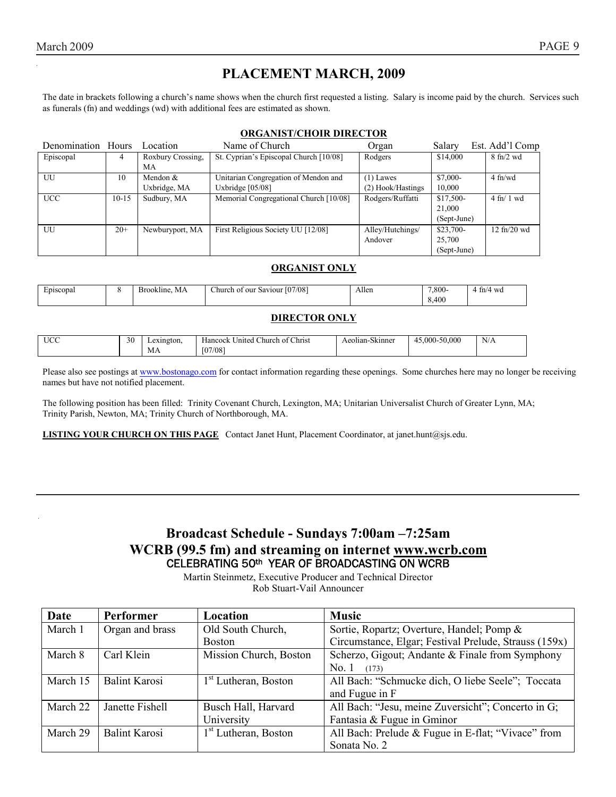### **PLACEMENT MARCH, 2009**

The date in brackets following a church's name shows when the church first requested a listing. Salary is income paid by the church. Services such as funerals (fn) and weddings (wd) with additional fees are estimated as shown.

#### **ORGANIST/CHOIR DIRECTOR**

| Denomination Hours |         | Location          | Name of Church                         | Organ             | Salary      | Est. Add'l Comp                   |
|--------------------|---------|-------------------|----------------------------------------|-------------------|-------------|-----------------------------------|
| Episcopal          |         | Roxbury Crossing, | St. Cyprian's Episcopal Church [10/08] | Rodgers           | \$14,000    | $8 \text{ ft}$ /2 wd              |
|                    |         | МA                |                                        |                   |             |                                   |
| UU                 | 10      | Mendon $&$        | Unitarian Congregation of Mendon and   | $(1)$ Lawes       | \$7,000-    | $4 \text{ ft/wd}$                 |
|                    |         | Uxbridge, MA      | Uxbridge $[05/08]$                     | (2) Hook/Hastings | 10,000      |                                   |
| <b>UCC</b>         | $10-15$ | Sudbury, MA       | Memorial Congregational Church [10/08] | Rodgers/Ruffatti  | $$17,500-$  | $4 \text{ ft} / 1 \text{ wd}$     |
|                    |         |                   |                                        |                   | 21,000      |                                   |
|                    |         |                   |                                        |                   | (Sept-June) |                                   |
| UU                 | $20+$   | Newburyport, MA   | First Religious Society UU [12/08]     | Alley/Hutchings/  | $$23,700-$  | $12 \text{ ft}$ / $20 \text{ wd}$ |
|                    |         |                   |                                        | Andover           | 25,700      |                                   |
|                    |         |                   |                                        |                   | (Sept-June) |                                   |

#### **ORGANIST ONLY**

| Episcopal | МA<br>.<br>pokline.<br>ът | [07/08]<br>Saviour<br>hurch_<br>our<br>ΩĪ | Allen | 7.800- | - WG<br>tn/4<br>. |
|-----------|---------------------------|-------------------------------------------|-------|--------|-------------------|
|           |                           |                                           |       | 400    |                   |

#### **DIRECTOR ONLY**

| TLOC<br>$\sim$ | $\Delta$<br>эU | Lexington. | Christ<br>$\sim$<br>Church of '<br>United<br>Hancock | $\sim$<br>Skinner<br>Aeolian | 45.000-50.000<br>4 | N/A |
|----------------|----------------|------------|------------------------------------------------------|------------------------------|--------------------|-----|
|                |                | MА         | 07/08                                                |                              |                    |     |

Please also see postings at www.bostonago.com for contact information regarding these openings. Some churches here may no longer be receiving names but have not notified placement.

The following position has been filled: Trinity Covenant Church, Lexington, MA; Unitarian Universalist Church of Greater Lynn, MA; Trinity Parish, Newton, MA; Trinity Church of Northborough, MA.

**LISTING YOUR CHURCH ON THIS PAGE** Contact Janet Hunt, Placement Coordinator, at janet.hunt@sjs.edu.

### **Broadcast Schedule - Sundays 7:00am –7:25am WCRB (99.5 fm) and streaming on internet www.wcrb.com** CELEBRATING 50th YEAR OF BROADCASTING ON WCRB

Martin Steinmetz, Executive Producer and Technical Director Rob Stuart-Vail Announcer

| Date     | Performer            | Location                         | <b>Music</b>                                          |
|----------|----------------------|----------------------------------|-------------------------------------------------------|
| March 1  | Organ and brass      | Old South Church,                | Sortie, Ropartz; Overture, Handel; Pomp &             |
|          |                      | <b>Boston</b>                    | Circumstance, Elgar; Festival Prelude, Strauss (159x) |
| March 8  | Carl Klein           | Mission Church, Boston           | Scherzo, Gigout; Andante & Finale from Symphony       |
|          |                      |                                  | No.1<br>(173)                                         |
| March 15 | <b>Balint Karosi</b> | $1st$ Lutheran, Boston           | All Bach: "Schmucke dich, O liebe Seele"; Toccata     |
|          |                      |                                  | and Fugue in F                                        |
| March 22 | Janette Fishell      | Busch Hall, Harvard              | All Bach: "Jesu, meine Zuversicht"; Concerto in G;    |
|          |                      | University                       | Fantasia & Fugue in Gminor                            |
| March 29 | <b>Balint Karosi</b> | 1 <sup>st</sup> Lutheran, Boston | All Bach: Prelude & Fugue in E-flat; "Vivace" from    |
|          |                      |                                  | Sonata No. 2                                          |